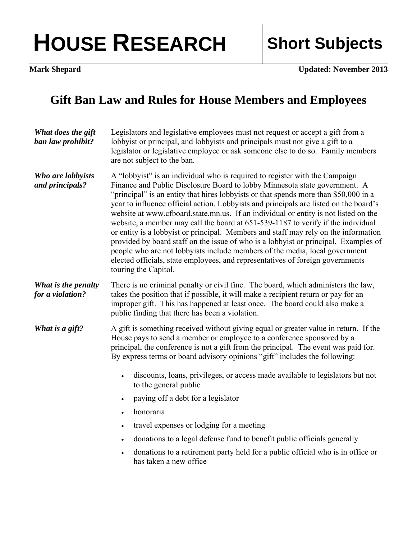## HOUSE RESEARCH Short Subjects

**Mark Shepard Updated: November 2013** 

## **Gift Ban Law and Rules for House Members and Employees**

| What does the gift<br>ban law prohibit? | Legislators and legislative employees must not request or accept a gift from a<br>lobbyist or principal, and lobbyists and principals must not give a gift to a<br>legislator or legislative employee or ask someone else to do so. Family members<br>are not subject to the ban.                                                                                                                                                                                                                                                                                                                                                                                                                                                                                                                                                                                                            |
|-----------------------------------------|----------------------------------------------------------------------------------------------------------------------------------------------------------------------------------------------------------------------------------------------------------------------------------------------------------------------------------------------------------------------------------------------------------------------------------------------------------------------------------------------------------------------------------------------------------------------------------------------------------------------------------------------------------------------------------------------------------------------------------------------------------------------------------------------------------------------------------------------------------------------------------------------|
| Who are lobbyists<br>and principals?    | A "lobbyist" is an individual who is required to register with the Campaign<br>Finance and Public Disclosure Board to lobby Minnesota state government. A<br>"principal" is an entity that hires lobbyists or that spends more than \$50,000 in a<br>year to influence official action. Lobbyists and principals are listed on the board's<br>website at www.cfboard.state.mn.us. If an individual or entity is not listed on the<br>website, a member may call the board at 651-539-1187 to verify if the individual<br>or entity is a lobbyist or principal. Members and staff may rely on the information<br>provided by board staff on the issue of who is a lobbyist or principal. Examples of<br>people who are not lobbyists include members of the media, local government<br>elected officials, state employees, and representatives of foreign governments<br>touring the Capitol. |
| What is the penalty<br>for a violation? | There is no criminal penalty or civil fine. The board, which administers the law,<br>takes the position that if possible, it will make a recipient return or pay for an<br>improper gift. This has happened at least once. The board could also make a<br>public finding that there has been a violation.                                                                                                                                                                                                                                                                                                                                                                                                                                                                                                                                                                                    |
| What is a gift?                         | A gift is something received without giving equal or greater value in return. If the<br>House pays to send a member or employee to a conference sponsored by a<br>principal, the conference is not a gift from the principal. The event was paid for.<br>By express terms or board advisory opinions "gift" includes the following:<br>discounts, loans, privileges, or access made available to legislators but not                                                                                                                                                                                                                                                                                                                                                                                                                                                                         |
|                                         | to the general public                                                                                                                                                                                                                                                                                                                                                                                                                                                                                                                                                                                                                                                                                                                                                                                                                                                                        |
|                                         | paying off a debt for a legislator                                                                                                                                                                                                                                                                                                                                                                                                                                                                                                                                                                                                                                                                                                                                                                                                                                                           |
|                                         | honoraria<br>$\bullet$                                                                                                                                                                                                                                                                                                                                                                                                                                                                                                                                                                                                                                                                                                                                                                                                                                                                       |
|                                         | travel expenses or lodging for a meeting<br>$\bullet$                                                                                                                                                                                                                                                                                                                                                                                                                                                                                                                                                                                                                                                                                                                                                                                                                                        |
|                                         | donations to a legal defense fund to benefit public officials generally<br>$\bullet$                                                                                                                                                                                                                                                                                                                                                                                                                                                                                                                                                                                                                                                                                                                                                                                                         |
|                                         | donations to a retirement party held for a public official who is in office or<br>$\bullet$<br>has taken a new office                                                                                                                                                                                                                                                                                                                                                                                                                                                                                                                                                                                                                                                                                                                                                                        |